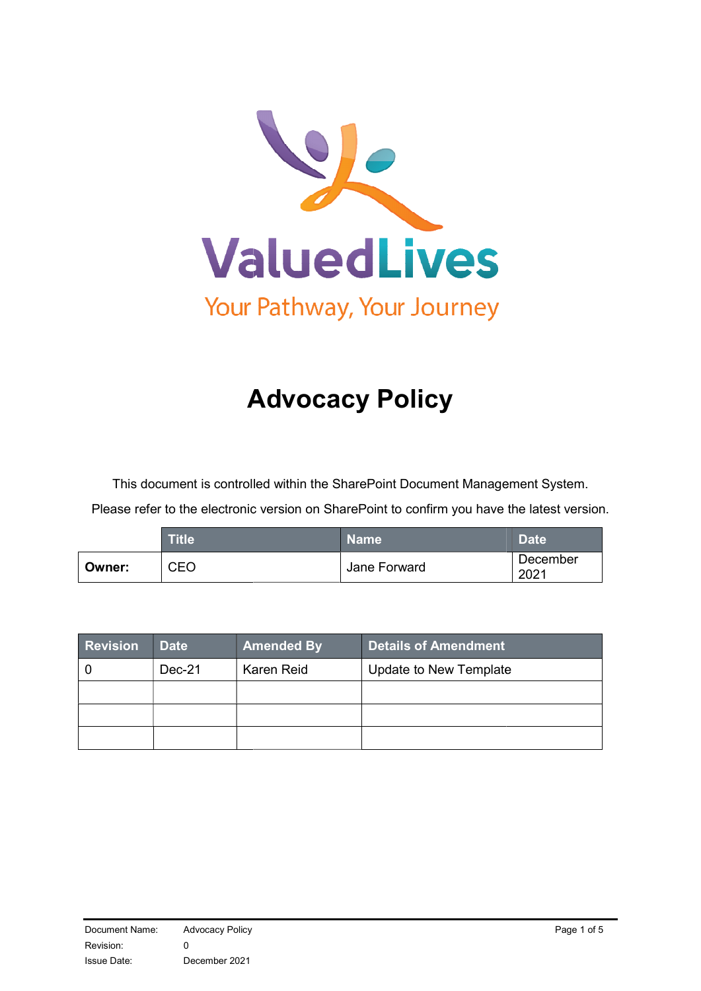

# A Advocacy Policy

This document is controlled within the SharePoint Document Management System.

Please refer to the electronic version on SharePoint to confirm you have the latest version.

|        | <b>Title</b> | <b>Name</b>  | <b>Date</b>      |
|--------|--------------|--------------|------------------|
| Owner: | CEO          | Jane Forward | December<br>2021 |

| <b>Revision</b> | <b>Date</b> | <b>Amended By</b> | Details of Amendment   |
|-----------------|-------------|-------------------|------------------------|
|                 | Dec-21      | Karen Reid        | Update to New Template |
|                 |             |                   |                        |
|                 |             |                   |                        |
|                 |             |                   |                        |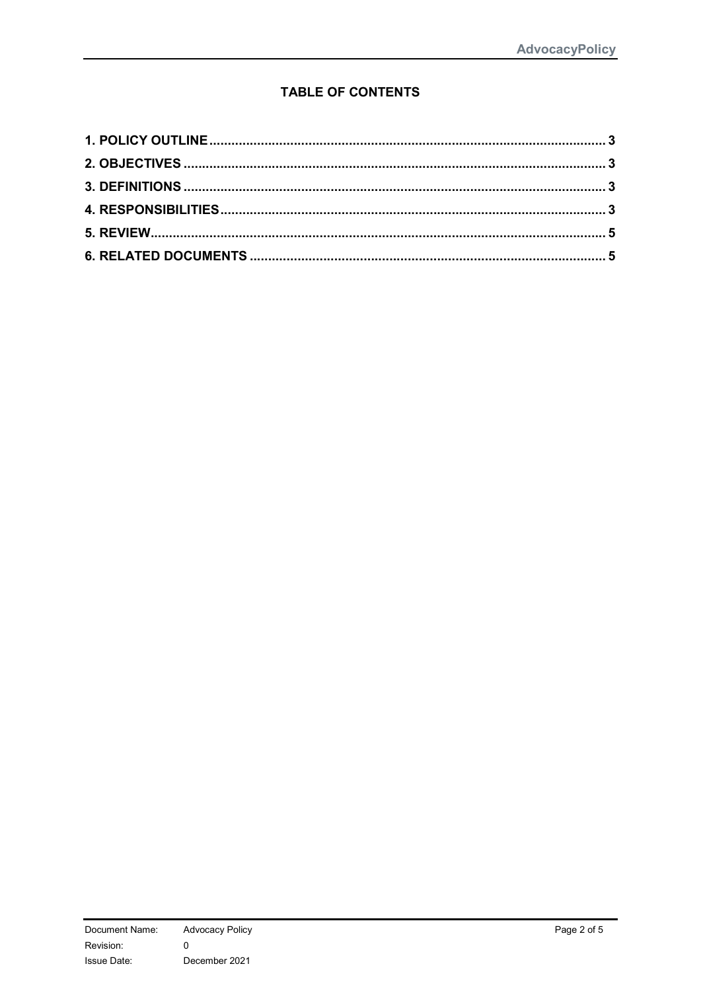## **TABLE OF CONTENTS**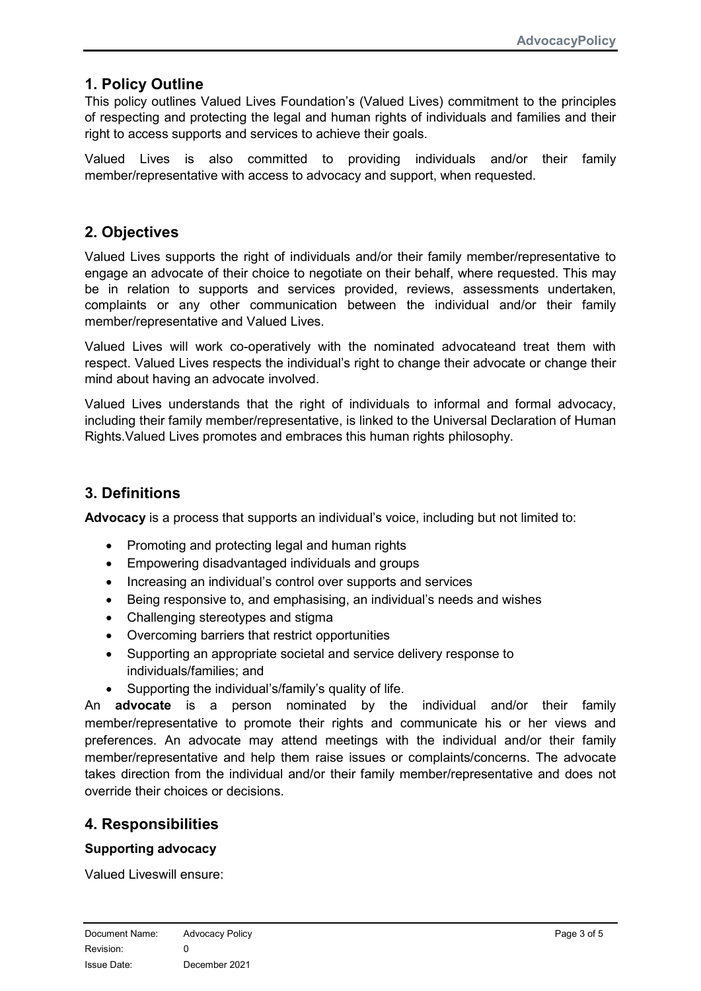## 1. Policy Outline

This policy outlines Valued Lives Foundation's (Valued Lives) commitment to the principles of respecting and protecting the legal and human rights of individuals and families and their right to access supports and services to achieve their goals.

Valued Lives is also committed to providing individuals and/or their family member/representative with access to advocacy and support, when requested.

## 2. Objectives

Valued Lives supports the right of individuals and/or their family member/representative to engage an advocate of their choice to negotiate on their behalf, where requested. This may be in relation to supports and services provided, reviews, assessments undertaken, complaints or any other communication between the individual and/or their family member/representative and Valued Lives.

Valued Lives will work co-operatively with the nominated advocateand treat them with respect. Valued Lives respects the individual's right to change their advocate or change their mind about having an advocate involved.

Valued Lives understands that the right of individuals to informal and formal advocacy, including their family member/representative, is linked to the Universal Declaration of Human Rights.Valued Lives promotes and embraces this human rights philosophy.

## 3. Definitions

Advocacy is a process that supports an individual's voice, including but not limited to:

- Promoting and protecting legal and human rights
- Empowering disadvantaged individuals and groups
- Increasing an individual's control over supports and services
- Being responsive to, and emphasising, an individual's needs and wishes
- Challenging stereotypes and stigma
- Overcoming barriers that restrict opportunities
- Supporting an appropriate societal and service delivery response to individuals/families; and
- Supporting the individual's/family's quality of life.

An advocate is a person nominated by the individual and/or their family member/representative to promote their rights and communicate his or her views and preferences. An advocate may attend meetings with the individual and/or their family member/representative and help them raise issues or complaints/concerns. The advocate takes direction from the individual and/or their family member/representative and does not override their choices or decisions.

## 4. Responsibilities

#### Supporting advocacy

Valued Liveswill ensure: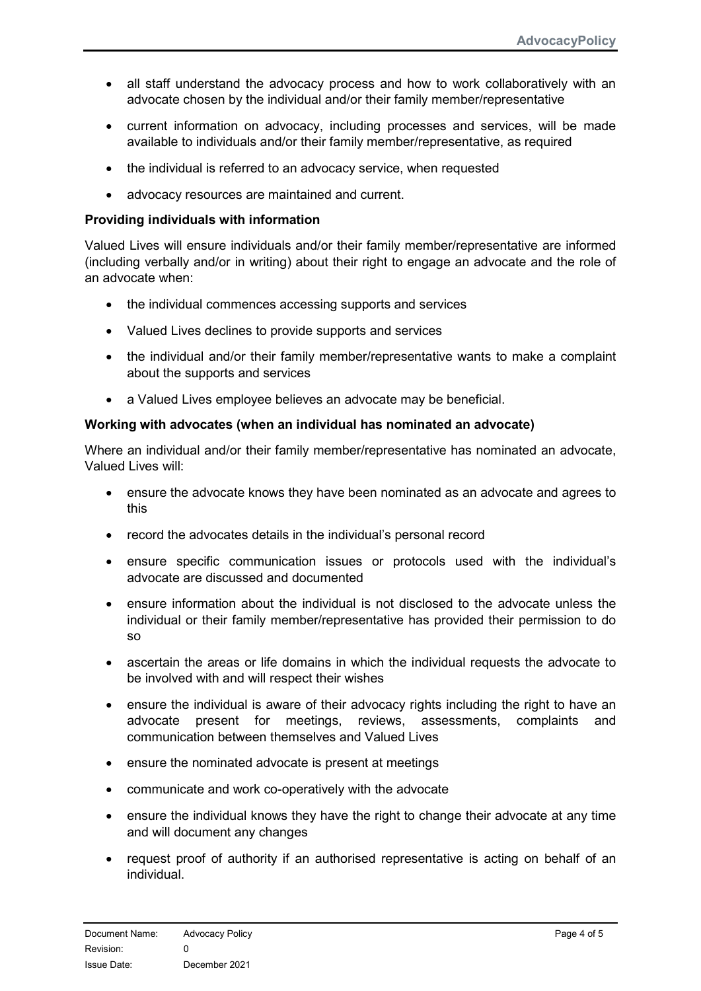- all staff understand the advocacy process and how to work collaboratively with an advocate chosen by the individual and/or their family member/representative
- current information on advocacy, including processes and services, will be made available to individuals and/or their family member/representative, as required
- the individual is referred to an advocacy service, when requested
- advocacy resources are maintained and current.

#### Providing individuals with information

Valued Lives will ensure individuals and/or their family member/representative are informed (including verbally and/or in writing) about their right to engage an advocate and the role of an advocate when:

- the individual commences accessing supports and services
- Valued Lives declines to provide supports and services
- the individual and/or their family member/representative wants to make a complaint about the supports and services
- a Valued Lives employee believes an advocate may be beneficial.

#### Working with advocates (when an individual has nominated an advocate)

Where an individual and/or their family member/representative has nominated an advocate, Valued Lives will:

- ensure the advocate knows they have been nominated as an advocate and agrees to this
- record the advocates details in the individual's personal record
- ensure specific communication issues or protocols used with the individual's advocate are discussed and documented
- ensure information about the individual is not disclosed to the advocate unless the individual or their family member/representative has provided their permission to do so
- ascertain the areas or life domains in which the individual requests the advocate to be involved with and will respect their wishes
- ensure the individual is aware of their advocacy rights including the right to have an advocate present for meetings, reviews, assessments, complaints and communication between themselves and Valued Lives
- ensure the nominated advocate is present at meetings
- communicate and work co-operatively with the advocate
- ensure the individual knows they have the right to change their advocate at any time and will document any changes
- request proof of authority if an authorised representative is acting on behalf of an individual.